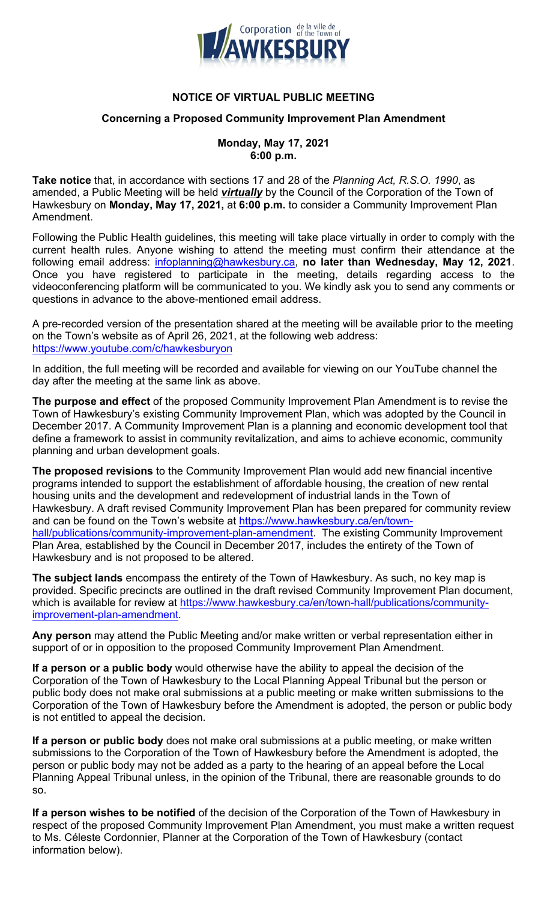

# **NOTICE OF VIRTUAL PUBLIC MEETING**

#### **Concerning a Proposed Community Improvement Plan Amendment**

### **Monday, May 17, 2021 6:00 p.m.**

**Take notice** that, in accordance with sections 17 and 28 of the *Planning Act, R.S.O. 1990*, as amended, a Public Meeting will be held *virtually* by the Council of the Corporation of the Town of Hawkesbury on **Monday, May 17, 2021,** at **6:00 p.m.** to consider a Community Improvement Plan Amendment.

Following the Public Health guidelines, this meeting will take place virtually in order to comply with the current health rules. Anyone wishing to attend the meeting must confirm their attendance at the following email address: infoplanning@hawkesbury.ca, **no later than Wednesday, May 12, 2021**. Once you have registered to participate in the meeting, details regarding access to the videoconferencing platform will be communicated to you. We kindly ask you to send any comments or questions in advance to the above-mentioned email address.

A pre-recorded version of the presentation shared at the meeting will be available prior to the meeting on the Town's website as of April 26, 2021, at the following web address: https://www.youtube.com/c/hawkesburyon

In addition, the full meeting will be recorded and available for viewing on our YouTube channel the day after the meeting at the same link as above.

**The purpose and effect** of the proposed Community Improvement Plan Amendment is to revise the Town of Hawkesbury's existing Community Improvement Plan, which was adopted by the Council in December 2017. A Community Improvement Plan is a planning and economic development tool that define a framework to assist in community revitalization, and aims to achieve economic, community planning and urban development goals.

**The proposed revisions** to the Community Improvement Plan would add new financial incentive programs intended to support the establishment of affordable housing, the creation of new rental housing units and the development and redevelopment of industrial lands in the Town of Hawkesbury. A draft revised Community Improvement Plan has been prepared for community review and can be found on the Town's website at https://www.hawkesbury.ca/en/townhall/publications/community-improvement-plan-amendment. The existing Community Improvement Plan Area, established by the Council in December 2017, includes the entirety of the Town of Hawkesbury and is not proposed to be altered.

**The subject lands** encompass the entirety of the Town of Hawkesbury. As such, no key map is provided. Specific precincts are outlined in the draft revised Community Improvement Plan document, which is available for review at https://www.hawkesbury.ca/en/town-hall/publications/communityimprovement-plan-amendment.

**Any person** may attend the Public Meeting and/or make written or verbal representation either in support of or in opposition to the proposed Community Improvement Plan Amendment.

**If a person or a public body** would otherwise have the ability to appeal the decision of the Corporation of the Town of Hawkesbury to the Local Planning Appeal Tribunal but the person or public body does not make oral submissions at a public meeting or make written submissions to the Corporation of the Town of Hawkesbury before the Amendment is adopted, the person or public body is not entitled to appeal the decision.

**If a person or public body** does not make oral submissions at a public meeting, or make written submissions to the Corporation of the Town of Hawkesbury before the Amendment is adopted, the person or public body may not be added as a party to the hearing of an appeal before the Local Planning Appeal Tribunal unless, in the opinion of the Tribunal, there are reasonable grounds to do so.

**If a person wishes to be notified** of the decision of the Corporation of the Town of Hawkesbury in respect of the proposed Community Improvement Plan Amendment, you must make a written request to Ms. Céleste Cordonnier, Planner at the Corporation of the Town of Hawkesbury (contact information below).